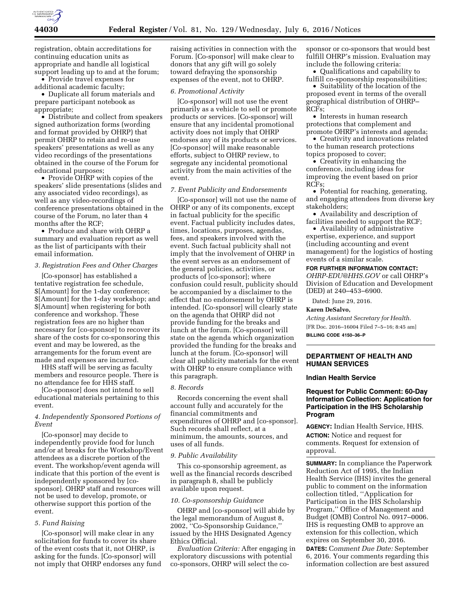

registration, obtain accreditations for continuing education units as appropriate and handle all logistical support leading up to and at the forum;

• Provide travel expenses for additional academic faculty;

• Duplicate all forum materials and prepare participant notebook as appropriate;

• Distribute and collect from speakers signed authorization forms (wording and format provided by OHRP) that permit OHRP to retain and re-use speakers' presentations as well as any video recordings of the presentations obtained in the course of the Forum for educational purposes;

• Provide OHRP with copies of the speakers' slide presentations (slides and any associated video recordings), as well as any video-recordings of conference presentations obtained in the course of the Forum, no later than 4 months after the RCF;

• Produce and share with OHRP a summary and evaluation report as well as the list of participants with their email information.

### *3. Registration Fees and Other Charges*

[Co-sponsor] has established a tentative registration fee schedule, \$[Amount] for the 1-day conference; \$[Amount] for the 1-day workshop; and \$[Amount] when registering for both conference and workshop. These registration fees are no higher than necessary for [co-sponsor] to recover its share of the costs for co-sponsoring this event and may be lowered, as the arrangements for the forum event are made and expenses are incurred.

HHS staff will be serving as faculty members and resource people. There is no attendance fee for HHS staff.

[Co-sponsor] does not intend to sell educational materials pertaining to this event.

## *4. Independently Sponsored Portions of Event*

[Co-sponsor] may decide to independently provide food for lunch and/or at breaks for the Workshop/Event attendees as a discrete portion of the event. The workshop/event agenda will indicate that this portion of the event is independently sponsored by [cosponsor]. OHRP staff and resources will not be used to develop, promote, or otherwise support this portion of the event.

#### *5. Fund Raising*

[Co-sponsor] will make clear in any solicitation for funds to cover its share of the event costs that it, not OHRP, is asking for the funds. [Co-sponsor] will not imply that OHRP endorses any fund

raising activities in connection with the Forum. [Co-sponsor] will make clear to donors that any gift will go solely toward defraying the sponsorship expenses of the event, not to OHRP.

## *6. Promotional Activity*

[Co-sponsor] will not use the event primarily as a vehicle to sell or promote products or services. [Co-sponsor] will ensure that any incidental promotional activity does not imply that OHRP endorses any of its products or services. [Co-sponsor] will make reasonable efforts, subject to OHRP review, to segregate any incidental promotional activity from the main activities of the event.

### *7. Event Publicity and Endorsements*

[Co-sponsor] will not use the name of OHRP or any of its components, except in factual publicity for the specific event. Factual publicity includes dates, times, locations, purposes, agendas, fees, and speakers involved with the event. Such factual publicity shall not imply that the involvement of OHRP in the event serves as an endorsement of the general policies, activities, or products of [co-sponsor]; where confusion could result, publicity should be accompanied by a disclaimer to the effect that no endorsement by OHRP is intended. [Co-sponsor] will clearly state on the agenda that OHRP did not provide funding for the breaks and lunch at the forum. [Co-sponsor] will state on the agenda which organization provided the funding for the breaks and lunch at the forum. [Co-sponsor] will clear all publicity materials for the event with OHRP to ensure compliance with this paragraph.

### *8. Records*

Records concerning the event shall account fully and accurately for the financial commitments and expenditures of OHRP and [co-sponsor]. Such records shall reflect, at a minimum, the amounts, sources, and uses of all funds.

#### *9. Public Availability*

This co-sponsorship agreement, as well as the financial records described in paragraph 8, shall be publicly available upon request.

#### *10. Co-sponsorship Guidance*

OHRP and [co-sponsor] will abide by the legal memorandum of August 8, 2002, ''Co-Sponsorship Guidance,'' issued by the HHS Designated Agency Ethics Official.

*Evaluation Criteria:* After engaging in exploratory discussions with potential co-sponsors, OHRP will select the cosponsor or co-sponsors that would best fulfill OHRP's mission. Evaluation may include the following criteria:

• Qualifications and capability to fulfill co-sponsorship responsibilities;

• Suitability of the location of the proposed event in terms of the overall geographical distribution of OHRP– RCFs;

• Interests in human research protections that complement and promote OHRP's interests and agenda;

• Creativity and innovations related to the human research protections topics proposed to cover;

• Creativity in enhancing the conference, including ideas for improving the event based on prior RCFs;

• Potential for reaching, generating, and engaging attendees from diverse key stakeholders;

• Availability and description of facilities needed to support the RCF;

• Availability of administrative expertise, experience, and support (including accounting and event management) for the logistics of hosting events of a similar scale.

## **FOR FURTHER INFORMATION CONTACT:**

*[OHRP-EDU@HHS.GOV](mailto:OHRP-EDU@HHS.GOV)* or call OHRP's Division of Education and Development (DED) at 240–453–6900.

Dated: June 29, 2016.

#### **Karen DeSalvo,**

*Acting Assistant Secretary for Health.*  [FR Doc. 2016–16004 Filed 7–5–16; 8:45 am] **BILLING CODE 4150–36–P** 

### **DEPARTMENT OF HEALTH AND HUMAN SERVICES**

#### **Indian Health Service**

## **Request for Public Comment: 60-Day Information Collection: Application for Participation in the IHS Scholarship Program**

**AGENCY:** Indian Health Service, HHS. **ACTION:** Notice and request for comments. Request for extension of approval.

**SUMMARY:** In compliance the Paperwork Reduction Act of 1995, the Indian Health Service (IHS) invites the general public to comment on the information collection titled, ''Application for Participation in the IHS Scholarship Program,'' Office of Management and Budget (OMB) Control No. 0917–0006. IHS is requesting OMB to approve an extension for this collection, which expires on September 30, 2016.

**DATES:** C*omment Due Date:* September 6, 2016. Your comments regarding this information collection are best assured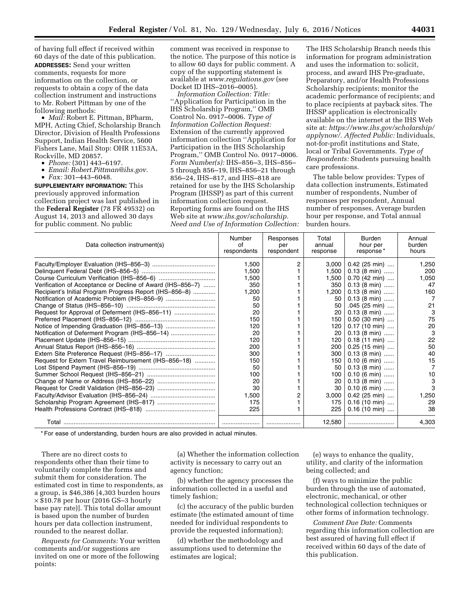of having full effect if received within 60 days of the date of this publication. **ADDRESSES:** Send your written comments, requests for more information on the collection, or requests to obtain a copy of the data collection instrument and instructions to Mr. Robert Pittman by one of the following methods:

• *Mail:* Robert E. Pittman, BPharm, MPH, Acting Chief, Scholarship Branch Director, Division of Health Professions Support, Indian Health Service, 5600 Fishers Lane, Mail Stop: OHR 11E53A, Rockville, MD 20857.

- *Phone:* (301) 443–6197.
- *Email: [Robert.Pittman@ihs.gov.](mailto:Robert.Pittman@ihs.gov)*
- *Fax:* 301–443–6048.

**SUPPLEMENTARY INFORMATION:** This previously approved information collection project was last published in the **Federal Register** (78 FR 49532) on August 14, 2013 and allowed 30 days for public comment. No public

comment was received in response to the notice. The purpose of this notice is to allow 60 days for public comment. A copy of the supporting statement is available at *[www.regulations.gov](http://www.regulations.gov)* (see Docket ID IHS–2016–0005).

*Information Collection: Title:*  ''Application for Participation in the IHS Scholarship Program,'' OMB Control No. 0917–0006. *Type of Information Collection Request:*  Extension of the currently approved information collection ''Application for Participation in the IHS Scholarship Program,'' OMB Control No. 0917–0006. *Form Number(s):* IHS–856–3, IHS–856– 5 through 856–19, IHS–856–21 through 856–24, IHS–817, and IHS–818 are retained for use by the IHS Scholarship Program (IHSSP) as part of this current information collection request. Reporting forms are found on the IHS Web site at *[www.ihs.gov/scholarship.](http://www.ihs.gov/scholarship) Need and Use of Information Collection:* 

The IHS Scholarship Branch needs this information for program administration and uses the information to: solicit, process, and award IHS Pre-graduate, Preparatory, and/or Health Professions Scholarship recipients; monitor the academic performance of recipients; and to place recipients at payback sites. The IHSSP application is electronically available on the internet at the IHS Web site at: *<https://www.ihs.gov/scholarship/> applynow/. Affected Public:* Individuals, not-for-profit institutions and State, local or Tribal Governments. *Type of Respondents:* Students pursuing health care professions.

The table below provides: Types of data collection instruments, Estimated number of respondents, Number of responses per respondent, Annual number of responses, Average burden hour per response, and Total annual burden hours.

| Data collection instrument(s)                              | Number<br>Ωf<br>respondents | Responses<br>per<br>respondent | Total<br>annual<br>response | Burden<br>hour per<br>response* | Annual<br>burden<br>hours |
|------------------------------------------------------------|-----------------------------|--------------------------------|-----------------------------|---------------------------------|---------------------------|
|                                                            | 1.500                       |                                | 3,000                       | $0.42$ (25 min)                 | 1.250                     |
|                                                            | 1,500                       |                                | 1,500                       | $0.13$ (8 min)                  | 200                       |
|                                                            | 1,500                       |                                | 1.500                       | $0.70$ (42 min)                 | 1,050                     |
| Verification of Acceptance or Decline of Award (IHS-856-7) | 350                         |                                | 350                         | $0.13$ (8 min)                  | 47                        |
| Recipient's Initial Program Progress Report (IHS-856-8)    | 1.200                       |                                | 1,200                       | $0.13$ (8 min)                  | 160                       |
| Notification of Academic Problem (IHS-856-9)               | 50                          |                                | 50                          | $0.13$ (8 min)                  |                           |
|                                                            | 50                          |                                | 50                          | $.045$ (25 min)                 | 21                        |
|                                                            | 20                          |                                | 20                          | $0.13(8 \text{ min})$           | 3                         |
|                                                            | 150                         |                                | 150                         | $0.50$ (30 min)                 | 75                        |
|                                                            | 120                         |                                | 120                         | $0.17(10 \text{ min})$          | 20                        |
| Notification of Deferment Program (IHS-856-14)             | 20                          |                                | 20                          | $0.13$ (8 min)                  | 3                         |
|                                                            | 120                         |                                | 120                         | $0.18$ (11 min)                 | 22                        |
|                                                            | 200                         |                                | 200                         | $0.25$ (15 min)                 | 50                        |
|                                                            | 300                         |                                | 300                         | $0.13$ (8 min)                  | 40                        |
| Request for Extern Travel Reimbursement (IHS-856-18)       | 150                         |                                | 150                         | $0.10$ (6 min)                  | 15                        |
|                                                            | 50                          |                                | 50                          | $0.13(8 \text{ min})$           |                           |
|                                                            | 100                         |                                | 100                         | $0.10$ (6 min)                  | 10                        |
|                                                            | 20                          |                                | 20                          | $0.13$ (8 min)                  | 3                         |
|                                                            | 30                          |                                | 30                          | $0.10$ (6 min)                  | 3                         |
|                                                            | 1.500                       |                                | 3.000                       | $0.42$ (25 min)                 | 1.250                     |
|                                                            | 175                         |                                | 175                         | $0.16$ (10 min)                 | 29                        |
|                                                            | 225                         |                                | 225                         | $0.16$ (10 min)                 | 38                        |
| Total                                                      |                             |                                | 12,580                      |                                 | 4.303                     |

\* For ease of understanding, burden hours are also provided in actual minutes.

There are no direct costs to respondents other than their time to voluntarily complete the forms and submit them for consideration. The estimated cost in time to respondents, as a group, is \$46,386 [4,303 burden hours × \$10.78 per hour (2016 GS–3 hourly base pay rate)]. This total dollar amount is based upon the number of burden hours per data collection instrument, rounded to the nearest dollar.

*Requests for Comments:* Your written comments and/or suggestions are invited on one or more of the following points:

(a) Whether the information collection activity is necessary to carry out an agency function;

(b) whether the agency processes the information collected in a useful and timely fashion;

(c) the accuracy of the public burden estimate (the estimated amount of time needed for individual respondents to provide the requested information);

(d) whether the methodology and assumptions used to determine the estimates are logical;

(e) ways to enhance the quality, utility, and clarity of the information being collected; and

(f) ways to minimize the public burden through the use of automated, electronic, mechanical, or other technological collection techniques or other forms of information technology.

*Comment Due Date:* Comments regarding this information collection are best assured of having full effect if received within 60 days of the date of this publication.